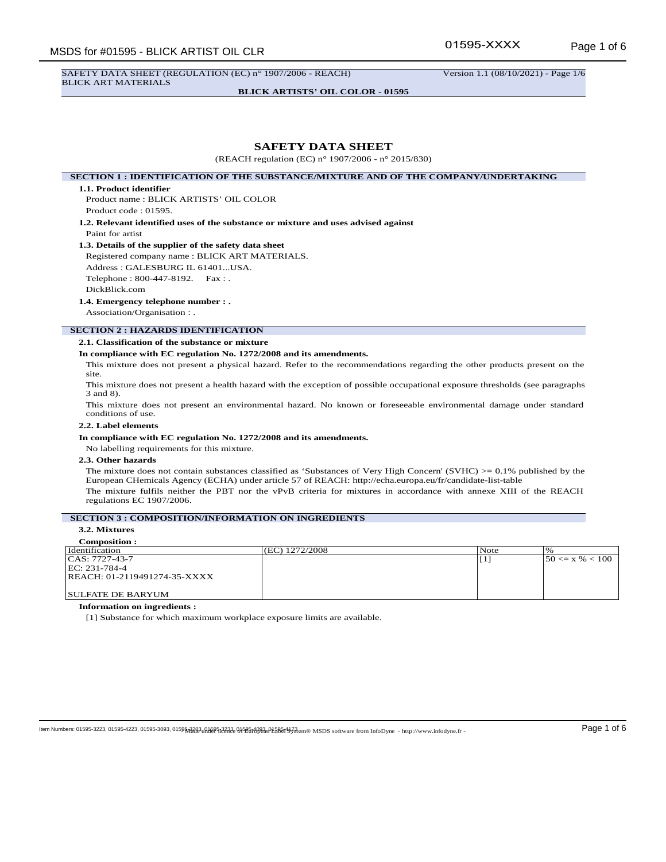SAFETY DATA SHEET (REGULATION (EC) n° 1907/2006 - REACH) Version 1.1 (08/10/2021) - Page 1/6 BLICK ART MATERIALS

**BLICK ARTISTS' OIL COLOR - 01595**

## **SAFETY DATA SHEET**

(REACH regulation (EC) n° 1907/2006 - n° 2015/830)

**SECTION 1 : IDENTIFICATION OF THE SUBSTANCE/MIXTURE AND OF THE COMPANY/UNDERTAKING**

### **1.1. Product identifier**

Product name : BLICK ARTISTS' OIL COLOR Product code : 01595.

**1.2. Relevant identified uses of the substance or mixture and uses advised against** Paint for artist

## **1.3. Details of the supplier of the safety data sheet**

Registered company name : BLICK ART MATERIALS. Address : GALESBURG IL 61401...USA. Telephone : 800-447-8192. Fax : .

DickBlick.com

#### **1.4. Emergency telephone number : .**

Association/Organisation : .

## **SECTION 2 : HAZARDS IDENTIFICATION**

## **2.1. Classification of the substance or mixture**

## **In compliance with EC regulation No. 1272/2008 and its amendments.**

This mixture does not present a physical hazard. Refer to the recommendations regarding the other products present on the site.

This mixture does not present a health hazard with the exception of possible occupational exposure thresholds (see paragraphs 3 and 8).

This mixture does not present an environmental hazard. No known or foreseeable environmental damage under standard conditions of use.

## **2.2. Label elements**

### **In compliance with EC regulation No. 1272/2008 and its amendments.**

No labelling requirements for this mixture.

#### **2.3. Other hazards**

The mixture does not contain substances classified as 'Substances of Very High Concern' (SVHC)  $> = 0.1\%$  published by the European CHemicals Agency (ECHA) under article 57 of REACH: http://echa.europa.eu/fr/candidate-list-table The mixture fulfils neither the PBT nor the vPvB criteria for mixtures in accordance with annexe XIII of the REACH regulations EC 1907/2006.

## **SECTION 3 : COMPOSITION/INFORMATION ON INGREDIENTS**

## **3.2. Mixtures**

| <b>Composition:</b>          |                |      |                      |
|------------------------------|----------------|------|----------------------|
| Identification               | (EC) 1272/2008 | Note |                      |
| $ CAS: 7727-43-7$            |                |      | $ 50 \ll x \% < 100$ |
| $ EC: 231-784-4$             |                |      |                      |
| REACH: 01-2119491274-35-XXXX |                |      |                      |
|                              |                |      |                      |
| <b>SULFATE DE BARYUM</b>     |                |      |                      |

**Information on ingredients :**

[1] Substance for which maximum workplace exposure limits are available.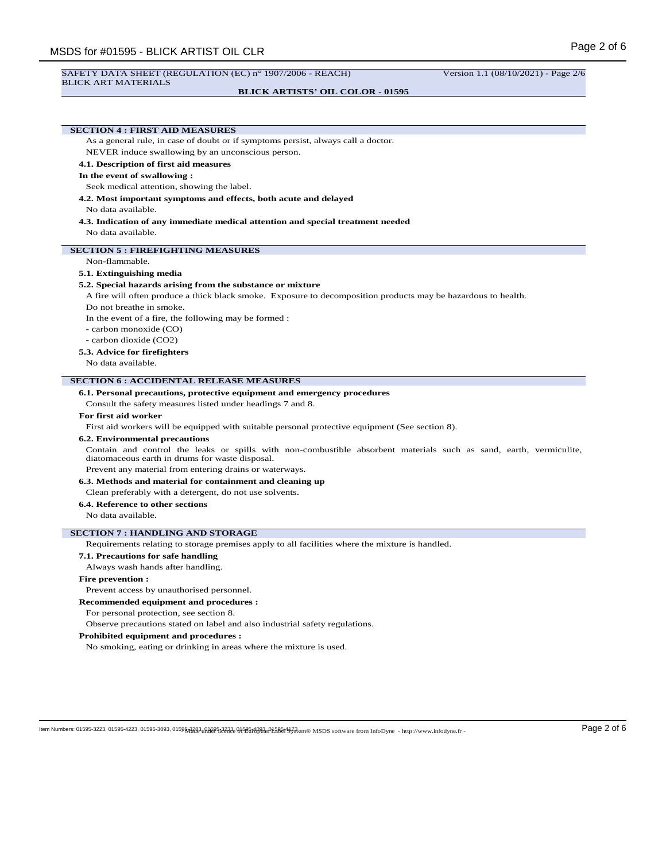#### SAFETY DATA SHEET (REGULATION (EC) n° 1907/2006 - REACH) Version 1.1 (08/10/2021) - Page 2/6 BLICK ART MATERIALS

#### **BLICK ARTISTS' OIL COLOR - 01595**

# **SECTION 4 : FIRST AID MEASURES**

As a general rule, in case of doubt or if symptoms persist, always call a doctor.

NEVER induce swallowing by an unconscious person.

#### **4.1. Description of first aid measures**

#### **In the event of swallowing :**

Seek medical attention, showing the label.

**4.2. Most important symptoms and effects, both acute and delayed**

## No data available.

**4.3. Indication of any immediate medical attention and special treatment needed** No data available.

## **SECTION 5 : FIREFIGHTING MEASURES**

#### Non-flammable.

#### **5.1. Extinguishing media**

#### **5.2. Special hazards arising from the substance or mixture**

A fire will often produce a thick black smoke. Exposure to decomposition products may be hazardous to health.

Do not breathe in smoke.

In the event of a fire, the following may be formed :

- carbon monoxide (CO)
- carbon dioxide (CO2)

### **5.3. Advice for firefighters**

No data available.

#### **SECTION 6 : ACCIDENTAL RELEASE MEASURES**

**6.1. Personal precautions, protective equipment and emergency procedures**

Consult the safety measures listed under headings 7 and 8.

#### **For first aid worker**

First aid workers will be equipped with suitable personal protective equipment (See section 8).

### **6.2. Environmental precautions**

Contain and control the leaks or spills with non-combustible absorbent materials such as sand, earth, vermiculite, diatomaceous earth in drums for waste disposal.

Prevent any material from entering drains or waterways.

**6.3. Methods and material for containment and cleaning up**

Clean preferably with a detergent, do not use solvents.

## **6.4. Reference to other sections**

No data available.

### **SECTION 7 : HANDLING AND STORAGE**

Requirements relating to storage premises apply to all facilities where the mixture is handled.

## **7.1. Precautions for safe handling**

Always wash hands after handling.

#### **Fire prevention :**

Prevent access by unauthorised personnel.

#### **Recommended equipment and procedures :**

For personal protection, see section 8.

Observe precautions stated on label and also industrial safety regulations.

## **Prohibited equipment and procedures :**

No smoking, eating or drinking in areas where the mixture is used.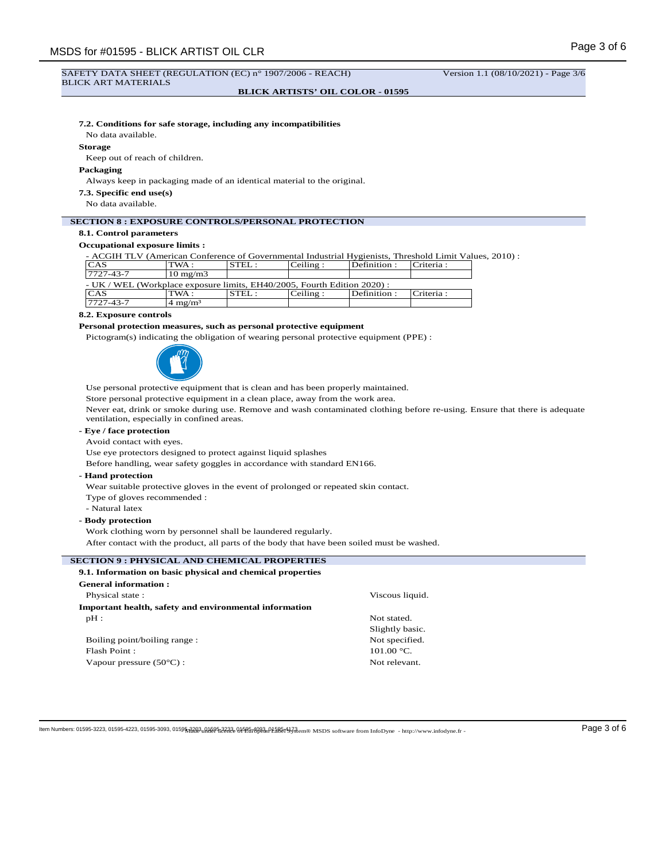#### **BLICK ARTISTS' OIL COLOR - 01595**

## **7.2. Conditions for safe storage, including any incompatibilities**

No data available.

#### **Storage**

Keep out of reach of children.

## **Packaging**

Always keep in packaging made of an identical material to the original.

**7.3. Specific end use(s)**

No data available.

## **SECTION 8 : EXPOSURE CONTROLS/PERSONAL PROTECTION**

# **8.1. Control parameters**

## **Occupational exposure limits :**

- ACGIH TLV (American Conference of Governmental Industrial Hygienists, Threshold Limit Values, 2010) :

| CAS                                                                      | TWA :                 | STEL: | Ceiline: | Definition: | Criteria : |  |
|--------------------------------------------------------------------------|-----------------------|-------|----------|-------------|------------|--|
| 7727-43-7                                                                | $10 \text{ mg/m}$ 3   |       |          |             |            |  |
| - UK / WEL (Workplace exposure limits, EH40/2005, Fourth Edition 2020) : |                       |       |          |             |            |  |
| <b>CAS</b>                                                               | TWA :                 | STEL: | Ceiline: | Definition: | Criteria : |  |
| $7727 - 43 - 7$                                                          | $\approx 4 \text{ m}$ |       |          |             |            |  |

#### **8.2. Exposure controls**

### **Personal protection measures, such as personal protective equipment**

Pictogram(s) indicating the obligation of wearing personal protective equipment (PPE) :



Use personal protective equipment that is clean and has been properly maintained.

Store personal protective equipment in a clean place, away from the work area.

Never eat, drink or smoke during use. Remove and wash contaminated clothing before re-using. Ensure that there is adequate ventilation, especially in confined areas.

## **- Eye / face protection**

Avoid contact with eyes.

Use eye protectors designed to protect against liquid splashes

Before handling, wear safety goggles in accordance with standard EN166.

#### **- Hand protection**

Wear suitable protective gloves in the event of prolonged or repeated skin contact.

Type of gloves recommended :

- Natural latex

## **- Body protection**

Work clothing worn by personnel shall be laundered regularly.

After contact with the product, all parts of the body that have been soiled must be washed.

## **SECTION 9 : PHYSICAL AND CHEMICAL PROPERTIES**

| 9.1. Information on basic physical and chemical properties |                 |
|------------------------------------------------------------|-----------------|
| <b>General information:</b>                                |                 |
| Physical state:                                            | Viscous liquid. |
| Important health, safety and environmental information     |                 |
| $pH$ :                                                     | Not stated.     |
|                                                            | Slightly basic. |
| Boiling point/boiling range:                               | Not specified.  |
| Flash Point:                                               | $101.00 °C$ .   |
| Vapour pressure $(50^{\circ}$ C) :                         | Not relevant.   |

 $\log N$  Mumbers: 01595-3223, 01595-4223, 01595-3093, 0159<del>5, 2233, 01595, 2233,</del> 01595-233, 01595-23, 01595-23, 01595-3093, 01595-2348, 01595-2348, 01595-2348, 01595-2365 015976. http://www.infodyne.fr -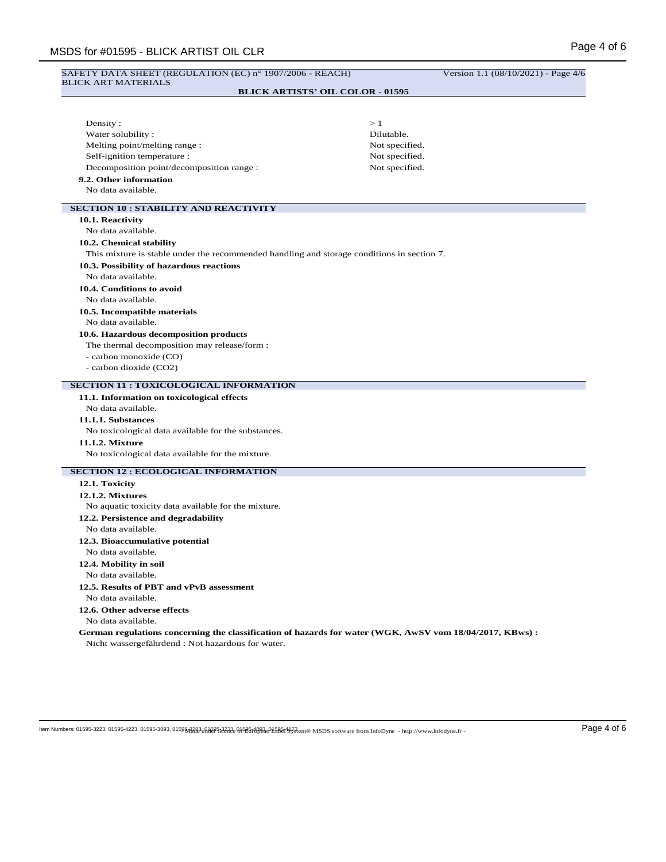# SAFETY DATA SHEET (REGULATION (EC) n° 1907/2006 - REACH) Version 1.1 (08/10/2021) - Page 4/6 BLICK ART MATERIALS

# **BLICK ARTISTS' OIL COLOR - 01595**

| Density:                                                                                                 | >1             |  |  |
|----------------------------------------------------------------------------------------------------------|----------------|--|--|
| Water solubility:                                                                                        | Dilutable.     |  |  |
| Melting point/melting range:                                                                             | Not specified. |  |  |
| Self-ignition temperature :                                                                              | Not specified. |  |  |
| Decomposition point/decomposition range :                                                                | Not specified. |  |  |
| 9.2. Other information                                                                                   |                |  |  |
| No data available.                                                                                       |                |  |  |
|                                                                                                          |                |  |  |
| <b>SECTION 10: STABILITY AND REACTIVITY</b>                                                              |                |  |  |
| 10.1. Reactivity                                                                                         |                |  |  |
| No data available.                                                                                       |                |  |  |
| 10.2. Chemical stability                                                                                 |                |  |  |
| This mixture is stable under the recommended handling and storage conditions in section 7.               |                |  |  |
| 10.3. Possibility of hazardous reactions                                                                 |                |  |  |
| No data available.                                                                                       |                |  |  |
| 10.4. Conditions to avoid                                                                                |                |  |  |
| No data available.                                                                                       |                |  |  |
| 10.5. Incompatible materials                                                                             |                |  |  |
| No data available.                                                                                       |                |  |  |
| 10.6. Hazardous decomposition products                                                                   |                |  |  |
| The thermal decomposition may release/form :                                                             |                |  |  |
| - carbon monoxide (CO)<br>- carbon dioxide (CO2)                                                         |                |  |  |
|                                                                                                          |                |  |  |
| <b>SECTION 11 : TOXICOLOGICAL INFORMATION</b>                                                            |                |  |  |
| 11.1. Information on toxicological effects                                                               |                |  |  |
| No data available.                                                                                       |                |  |  |
| 11.1.1. Substances                                                                                       |                |  |  |
| No toxicological data available for the substances.                                                      |                |  |  |
| 11.1.2. Mixture                                                                                          |                |  |  |
| No toxicological data available for the mixture.                                                         |                |  |  |
| <b>SECTION 12 : ECOLOGICAL INFORMATION</b>                                                               |                |  |  |
| 12.1. Toxicity                                                                                           |                |  |  |
| <b>12.1.2. Mixtures</b>                                                                                  |                |  |  |
| No aquatic toxicity data available for the mixture.                                                      |                |  |  |
| 12.2. Persistence and degradability                                                                      |                |  |  |
| No data available.                                                                                       |                |  |  |
| 12.3. Bioaccumulative potential                                                                          |                |  |  |
| No data available.                                                                                       |                |  |  |
| 12.4. Mobility in soil                                                                                   |                |  |  |
| No data available.                                                                                       |                |  |  |
| 12.5. Results of PBT and vPvB assessment                                                                 |                |  |  |
| No data available.                                                                                       |                |  |  |
| 12.6. Other adverse effects                                                                              |                |  |  |
| No data available.                                                                                       |                |  |  |
| German regulations concerning the classification of hazards for water (WGK, AwSV vom 18/04/2017, KBws) : |                |  |  |
| Nicht wassergefährdend : Not hazardous for water.                                                        |                |  |  |
|                                                                                                          |                |  |  |
|                                                                                                          |                |  |  |
|                                                                                                          |                |  |  |

 $\log N$  Mumbers: 01595-3223, 01595-4223, 01595-3093, 0159<del>5, 2233, 01595, 2233,</del> 01595-233, 01595-233, 01595-2343, 01595-2343, 01595-2343, 01595-3223, 01595-3223, 01595-3233, 01595-323, 01595-323, 01595-323, 01595-393, 0159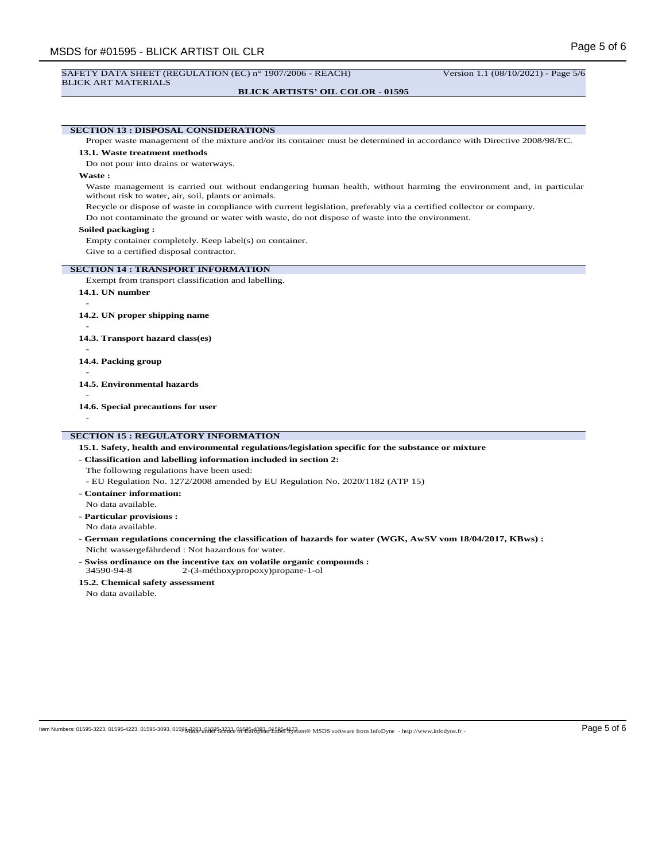## **BLICK ARTISTS' OIL COLOR - 01595**

**SECTION 13 : DISPOSAL CONSIDERATIONS** Proper waste management of the mixture and/or its container must be determined in accordance with Directive 2008/98/EC. **13.1. Waste treatment methods** Do not pour into drains or waterways. **Waste :** Waste management is carried out without endangering human health, without harming the environment and, in particular without risk to water, air, soil, plants or animals. Recycle or dispose of waste in compliance with current legislation, preferably via a certified collector or company. Do not contaminate the ground or water with waste, do not dispose of waste into the environment.

## **Soiled packaging :**

Empty container completely. Keep label(s) on container.

Give to a certified disposal contractor.

### **SECTION 14 : TRANSPORT INFORMATION**

- Exempt from transport classification and labelling.
- **14.1. UN number** -

**14.2. UN proper shipping name**

#### **14.3. Transport hazard class(es)**

-

-

- **14.4. Packing group** -
- **14.5. Environmental hazards**

**14.6. Special precautions for user**

-

-

## **SECTION 15 : REGULATORY INFORMATION**

- **15.1. Safety, health and environmental regulations/legislation specific for the substance or mixture**
- **Classification and labelling information included in section 2:**

The following regulations have been used:

- EU Regulation No. 1272/2008 amended by EU Regulation No. 2020/1182 (ATP 15)
- **Container information:**
- No data available.
- **Particular provisions :** No data available.
- **German regulations concerning the classification of hazards for water (WGK, AwSV vom 18/04/2017, KBws) :** Nicht wassergefährdend : Not hazardous for water.
- **Swiss ordinance on the incentive tax on volatile organic compounds :** 34590-94-8 2-(3-méthoxypropoxy)propane-1-ol
- **15.2. Chemical safety assessment**

No data available.